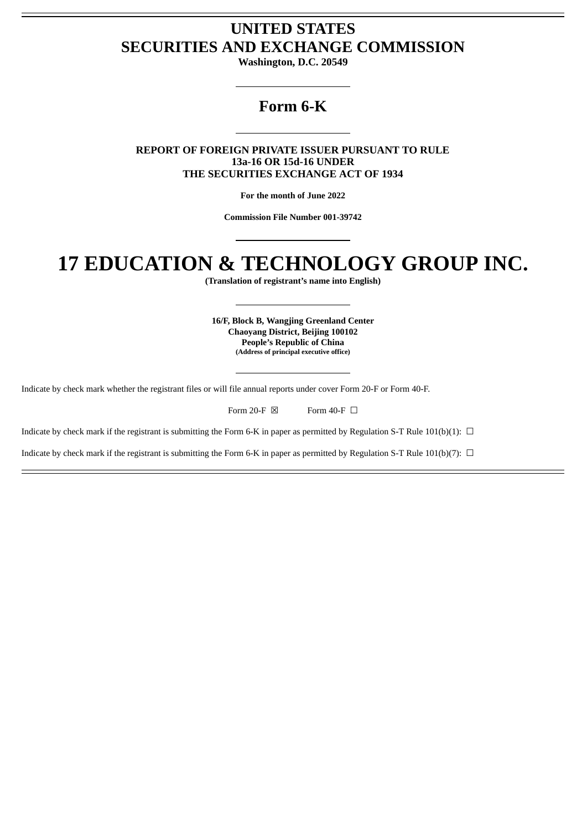# **UNITED STATES SECURITIES AND EXCHANGE COMMISSION**

**Washington, D.C. 20549**

# **Form 6-K**

**REPORT OF FOREIGN PRIVATE ISSUER PURSUANT TO RULE 13a-16 OR 15d-16 UNDER THE SECURITIES EXCHANGE ACT OF 1934**

**For the month of June 2022**

**Commission File Number 001-39742**

# **17 EDUCATION & TECHNOLOGY GROUP INC.**

**(Translation of registrant's name into English)**

**16/F, Block B, Wangjing Greenland Center Chaoyang District, Beijing 100102 People's Republic of China (Address of principal executive office)**

Indicate by check mark whether the registrant files or will file annual reports under cover Form 20-F or Form 40-F.

| Form 20-F $\boxtimes$ | Form 40-F $\Box$ |  |
|-----------------------|------------------|--|
|                       |                  |  |

Indicate by check mark if the registrant is submitting the Form 6-K in paper as permitted by Regulation S-T Rule 101(b)(1):  $\Box$ 

Indicate by check mark if the registrant is submitting the Form 6-K in paper as permitted by Regulation S-T Rule 101(b)(7):  $\Box$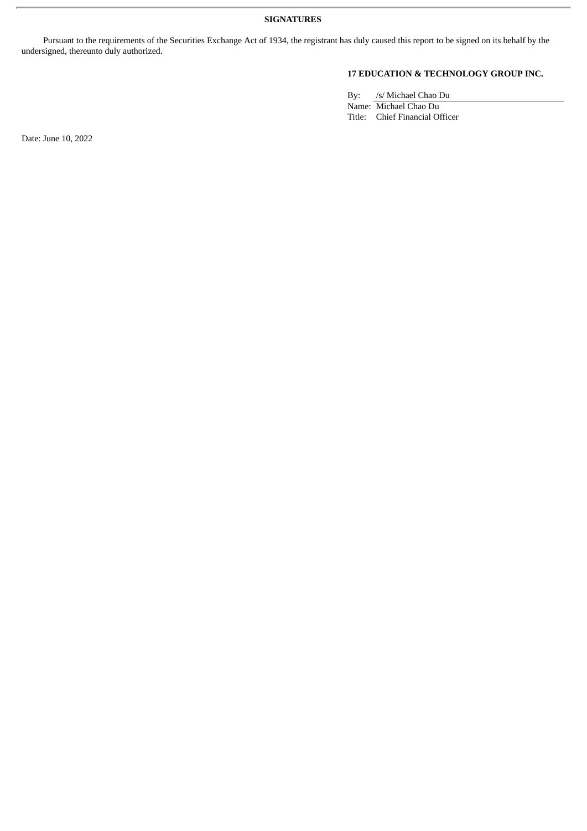Pursuant to the requirements of the Securities Exchange Act of 1934, the registrant has duly caused this report to be signed on its behalf by the undersigned, thereunto duly authorized.

## **17 EDUCATION & TECHNOLOGY GROUP INC.**

By: /s/ Michael Chao Du

Name: Michael Chao Du Title: Chief Financial Officer

Date: June 10, 2022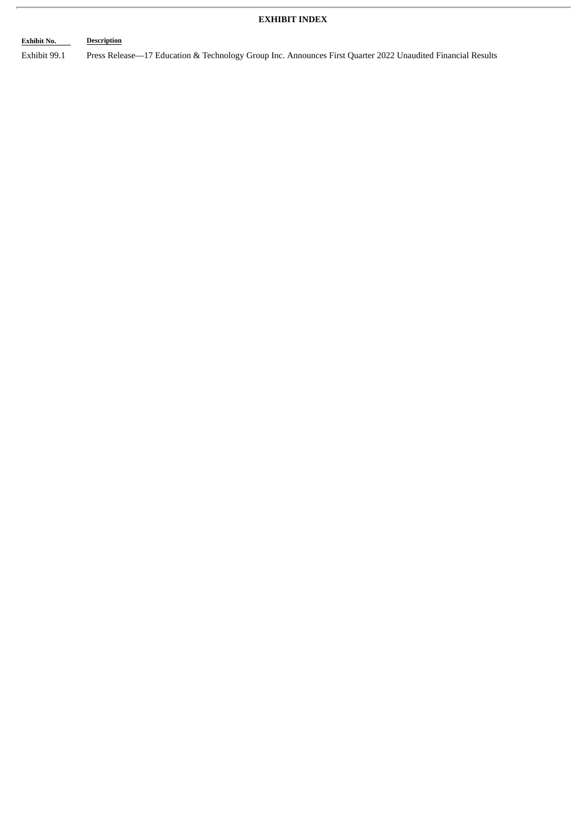## **EXHIBIT INDEX**

# **Exhibit No. Description** Exhibit 99.1 Press Release—17 Education & Technology Group Inc. Announces First Quarter 2022 Unaudited Financial Results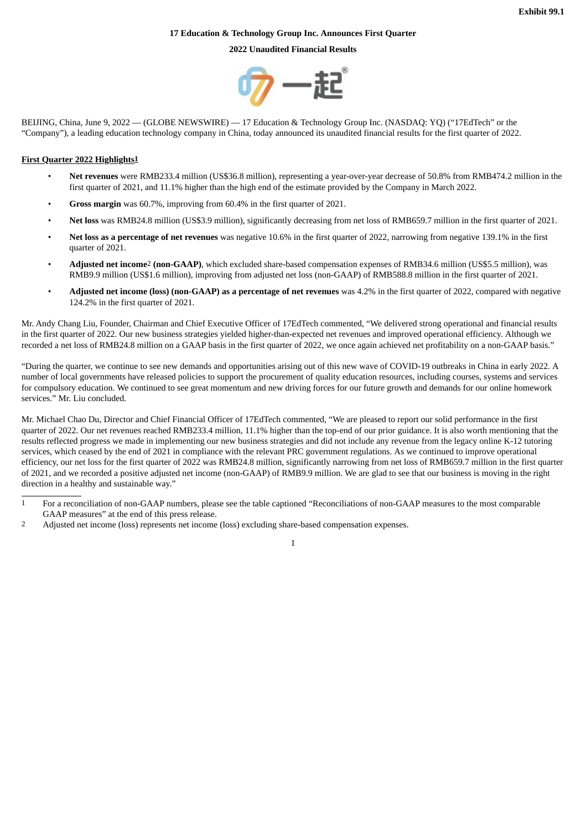#### **17 Education & Technology Group Inc. Announces First Quarter**

**2022 Unaudited Financial Results**



BEIJING, China, June 9, 2022 — (GLOBE NEWSWIRE) — 17 Education & Technology Group Inc. (NASDAQ: YQ) ("17EdTech" or the "Company"), a leading education technology company in China, today announced its unaudited financial results for the first quarter of 2022.

#### **First Quarter 2022 Highlights1**

- **Net revenues** were RMB233.4 million (US\$36.8 million), representing a year-over-year decrease of 50.8% from RMB474.2 million in the first quarter of 2021, and 11.1% higher than the high end of the estimate provided by the Company in March 2022.
- **Gross margin** was 60.7%, improving from 60.4% in the first quarter of 2021.
- **Net loss** was RMB24.8 million (US\$3.9 million), significantly decreasing from net loss of RMB659.7 million in the first quarter of 2021.
- **Net loss as a percentage of net revenues** was negative 10.6% in the first quarter of 2022, narrowing from negative 139.1% in the first quarter of 2021.
- **Adjusted net income**2 **(non-GAAP)**, which excluded share-based compensation expenses of RMB34.6 million (US\$5.5 million), was RMB9.9 million (US\$1.6 million), improving from adjusted net loss (non-GAAP) of RMB588.8 million in the first quarter of 2021.
- **Adjusted net income (loss) (non-GAAP) as a percentage of net revenues** was 4.2% in the first quarter of 2022, compared with negative 124.2% in the first quarter of 2021.

Mr. Andy Chang Liu, Founder, Chairman and Chief Executive Officer of 17EdTech commented, "We delivered strong operational and financial results in the first quarter of 2022. Our new business strategies yielded higher-than-expected net revenues and improved operational efficiency. Although we recorded a net loss of RMB24.8 million on a GAAP basis in the first quarter of 2022, we once again achieved net profitability on a non-GAAP basis."

"During the quarter, we continue to see new demands and opportunities arising out of this new wave of COVID-19 outbreaks in China in early 2022. A number of local governments have released policies to support the procurement of quality education resources, including courses, systems and services for compulsory education. We continued to see great momentum and new driving forces for our future growth and demands for our online homework services." Mr. Liu concluded.

Mr. Michael Chao Du, Director and Chief Financial Officer of 17EdTech commented, "We are pleased to report our solid performance in the first quarter of 2022. Our net revenues reached RMB233.4 million, 11.1% higher than the top-end of our prior guidance. It is also worth mentioning that the results reflected progress we made in implementing our new business strategies and did not include any revenue from the legacy online K-12 tutoring services, which ceased by the end of 2021 in compliance with the relevant PRC government regulations. As we continued to improve operational efficiency, our net loss for the first quarter of 2022 was RMB24.8 million, significantly narrowing from net loss of RMB659.7 million in the first quarter of 2021, and we recorded a positive adjusted net income (non-GAAP) of RMB9.9 million. We are glad to see that our business is moving in the right direction in a healthy and sustainable way."

- 1 For a reconciliation of non-GAAP numbers, please see the table captioned "Reconciliations of non-GAAP measures to the most comparable GAAP measures" at the end of this press release.
- 2 Adjusted net income (loss) represents net income (loss) excluding share-based compensation expenses.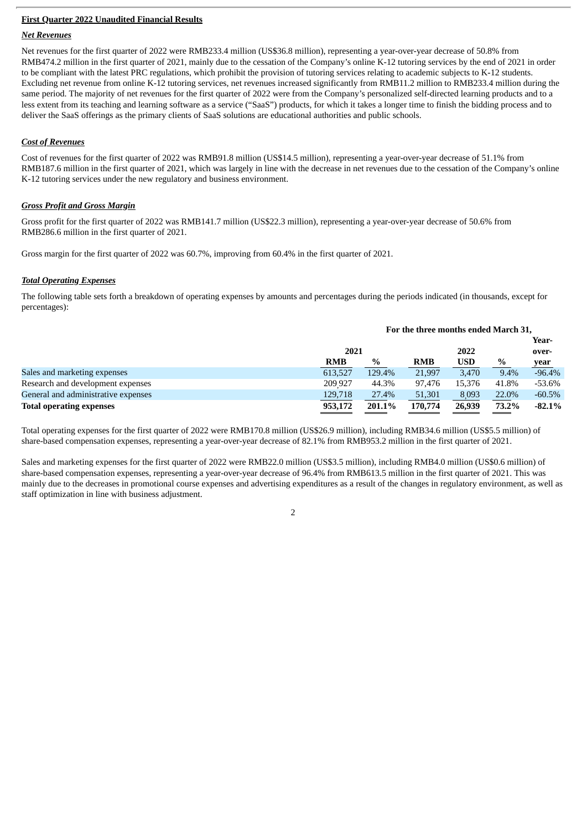#### **First Quarter 2022 Unaudited Financial Results**

#### *Net Revenues*

Net revenues for the first quarter of 2022 were RMB233.4 million (US\$36.8 million), representing a year-over-year decrease of 50.8% from RMB474.2 million in the first quarter of 2021, mainly due to the cessation of the Company's online K-12 tutoring services by the end of 2021 in order to be compliant with the latest PRC regulations, which prohibit the provision of tutoring services relating to academic subjects to K-12 students. Excluding net revenue from online K-12 tutoring services, net revenues increased significantly from RMB11.2 million to RMB233.4 million during the same period. The majority of net revenues for the first quarter of 2022 were from the Company's personalized self-directed learning products and to a less extent from its teaching and learning software as a service ("SaaS") products, for which it takes a longer time to finish the bidding process and to deliver the SaaS offerings as the primary clients of SaaS solutions are educational authorities and public schools.

#### *Cost of Revenues*

Cost of revenues for the first quarter of 2022 was RMB91.8 million (US\$14.5 million), representing a year-over-year decrease of 51.1% from RMB187.6 million in the first quarter of 2021, which was largely in line with the decrease in net revenues due to the cessation of the Company's online K-12 tutoring services under the new regulatory and business environment.

#### *Gross Profit and Gross Margin*

Gross profit for the first quarter of 2022 was RMB141.7 million (US\$22.3 million), representing a year-over-year decrease of 50.6% from RMB286.6 million in the first quarter of 2021.

Gross margin for the first quarter of 2022 was 60.7%, improving from 60.4% in the first quarter of 2021.

#### *Total Operating Expenses*

The following table sets forth a breakdown of operating expenses by amounts and percentages during the periods indicated (in thousands, except for percentages):

|                                     | For the three months ended March 31, |        |            |            |       |          |
|-------------------------------------|--------------------------------------|--------|------------|------------|-------|----------|
|                                     |                                      |        |            |            |       | Year-    |
|                                     | 2021                                 |        |            | 2022       |       | over-    |
|                                     | <b>RMB</b>                           | $\%$   | <b>RMB</b> | <b>USD</b> | $\%$  | year     |
| Sales and marketing expenses        | 613.527                              | 129.4% | 21,997     | 3.470      | 9.4%  | $-96.4%$ |
| Research and development expenses   | 209 927                              | 44.3%  | 97.476     | 15.376     | 41.8% | -53.6%   |
| General and administrative expenses | 129,718                              | 27.4%  | 51,301     | 8.093      | 22.0% | $-60.5%$ |
| <b>Total operating expenses</b>     | 953,172                              | 201.1% | 170,774    | 26,939     | 73.2% | $-82.1%$ |

Total operating expenses for the first quarter of 2022 were RMB170.8 million (US\$26.9 million), including RMB34.6 million (US\$5.5 million) of share-based compensation expenses, representing a year-over-year decrease of 82.1% from RMB953.2 million in the first quarter of 2021.

Sales and marketing expenses for the first quarter of 2022 were RMB22.0 million (US\$3.5 million), including RMB4.0 million (US\$0.6 million) of share-based compensation expenses, representing a year-over-year decrease of 96.4% from RMB613.5 million in the first quarter of 2021. This was mainly due to the decreases in promotional course expenses and advertising expenditures as a result of the changes in regulatory environment, as well as staff optimization in line with business adjustment.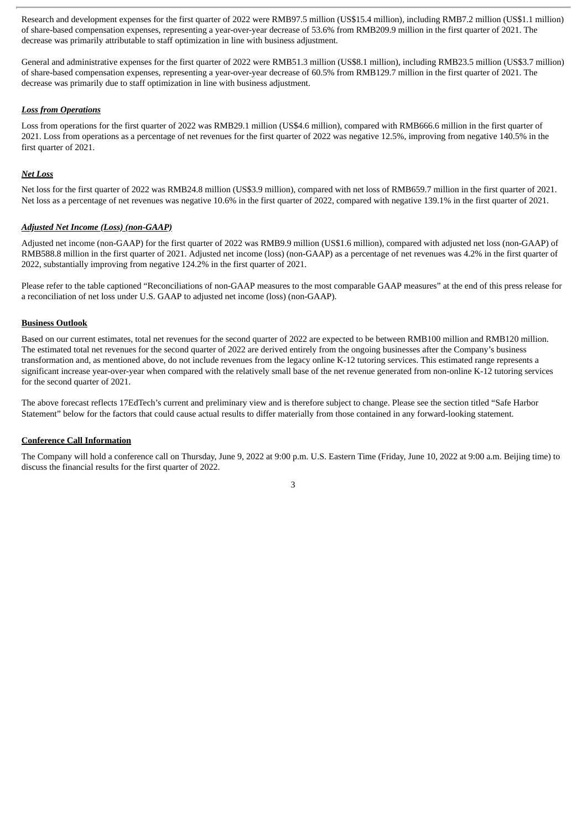Research and development expenses for the first quarter of 2022 were RMB97.5 million (US\$15.4 million), including RMB7.2 million (US\$1.1 million) of share-based compensation expenses, representing a year-over-year decrease of 53.6% from RMB209.9 million in the first quarter of 2021. The decrease was primarily attributable to staff optimization in line with business adjustment.

General and administrative expenses for the first quarter of 2022 were RMB51.3 million (US\$8.1 million), including RMB23.5 million (US\$3.7 million) of share-based compensation expenses, representing a year-over-year decrease of 60.5% from RMB129.7 million in the first quarter of 2021. The decrease was primarily due to staff optimization in line with business adjustment.

#### *Loss from Operations*

Loss from operations for the first quarter of 2022 was RMB29.1 million (US\$4.6 million), compared with RMB666.6 million in the first quarter of 2021. Loss from operations as a percentage of net revenues for the first quarter of 2022 was negative 12.5%, improving from negative 140.5% in the first quarter of 2021.

#### *Net Loss*

Net loss for the first quarter of 2022 was RMB24.8 million (US\$3.9 million), compared with net loss of RMB659.7 million in the first quarter of 2021. Net loss as a percentage of net revenues was negative 10.6% in the first quarter of 2022, compared with negative 139.1% in the first quarter of 2021.

#### *Adjusted Net Income (Loss) (non-GAAP)*

Adjusted net income (non-GAAP) for the first quarter of 2022 was RMB9.9 million (US\$1.6 million), compared with adjusted net loss (non-GAAP) of RMB588.8 million in the first quarter of 2021. Adjusted net income (loss) (non-GAAP) as a percentage of net revenues was 4.2% in the first quarter of 2022, substantially improving from negative 124.2% in the first quarter of 2021.

Please refer to the table captioned "Reconciliations of non-GAAP measures to the most comparable GAAP measures" at the end of this press release for a reconciliation of net loss under U.S. GAAP to adjusted net income (loss) (non-GAAP).

#### **Business Outlook**

Based on our current estimates, total net revenues for the second quarter of 2022 are expected to be between RMB100 million and RMB120 million. The estimated total net revenues for the second quarter of 2022 are derived entirely from the ongoing businesses after the Company's business transformation and, as mentioned above, do not include revenues from the legacy online K-12 tutoring services. This estimated range represents a significant increase year-over-year when compared with the relatively small base of the net revenue generated from non-online K-12 tutoring services for the second quarter of 2021.

The above forecast reflects 17EdTech's current and preliminary view and is therefore subject to change. Please see the section titled "Safe Harbor Statement" below for the factors that could cause actual results to differ materially from those contained in any forward-looking statement.

#### **Conference Call Information**

The Company will hold a conference call on Thursday, June 9, 2022 at 9:00 p.m. U.S. Eastern Time (Friday, June 10, 2022 at 9:00 a.m. Beijing time) to discuss the financial results for the first quarter of 2022.

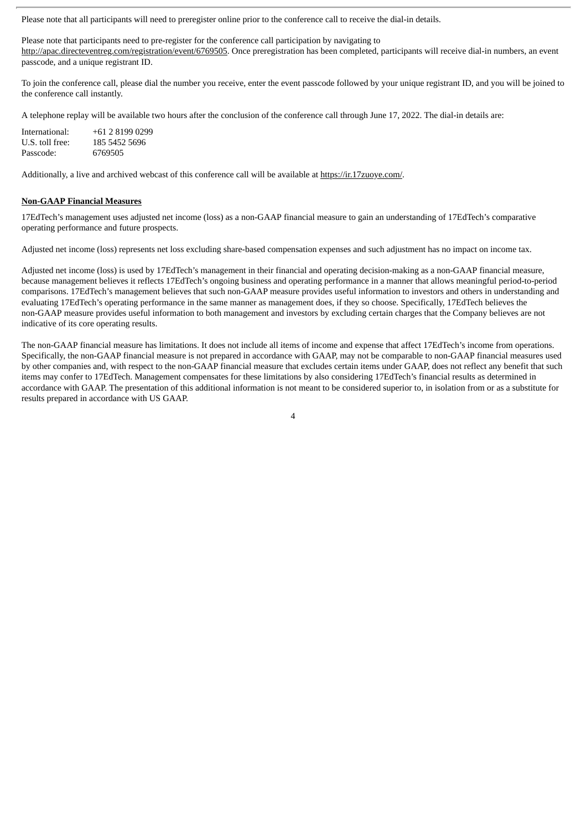Please note that all participants will need to preregister online prior to the conference call to receive the dial-in details.

Please note that participants need to pre-register for the conference call participation by navigating to http://apac.directeventreg.com/registration/event/6769505. Once preregistration has been completed, participants will receive dial-in numbers, an event passcode, and a unique registrant ID.

To join the conference call, please dial the number you receive, enter the event passcode followed by your unique registrant ID, and you will be joined to the conference call instantly.

A telephone replay will be available two hours after the conclusion of the conference call through June 17, 2022. The dial-in details are:

| International:  | $+61$ 2 8199 0299 |
|-----------------|-------------------|
| U.S. toll free: | 185 5452 5696     |
| Passcode:       | 6769505           |

Additionally, a live and archived webcast of this conference call will be available at https://ir.17zuoye.com/.

#### **Non-GAAP Financial Measures**

17EdTech's management uses adjusted net income (loss) as a non-GAAP financial measure to gain an understanding of 17EdTech's comparative operating performance and future prospects.

Adjusted net income (loss) represents net loss excluding share-based compensation expenses and such adjustment has no impact on income tax.

Adjusted net income (loss) is used by 17EdTech's management in their financial and operating decision-making as a non-GAAP financial measure, because management believes it reflects 17EdTech's ongoing business and operating performance in a manner that allows meaningful period-to-period comparisons. 17EdTech's management believes that such non-GAAP measure provides useful information to investors and others in understanding and evaluating 17EdTech's operating performance in the same manner as management does, if they so choose. Specifically, 17EdTech believes the non-GAAP measure provides useful information to both management and investors by excluding certain charges that the Company believes are not indicative of its core operating results.

The non-GAAP financial measure has limitations. It does not include all items of income and expense that affect 17EdTech's income from operations. Specifically, the non-GAAP financial measure is not prepared in accordance with GAAP, may not be comparable to non-GAAP financial measures used by other companies and, with respect to the non-GAAP financial measure that excludes certain items under GAAP, does not reflect any benefit that such items may confer to 17EdTech. Management compensates for these limitations by also considering 17EdTech's financial results as determined in accordance with GAAP. The presentation of this additional information is not meant to be considered superior to, in isolation from or as a substitute for results prepared in accordance with US GAAP.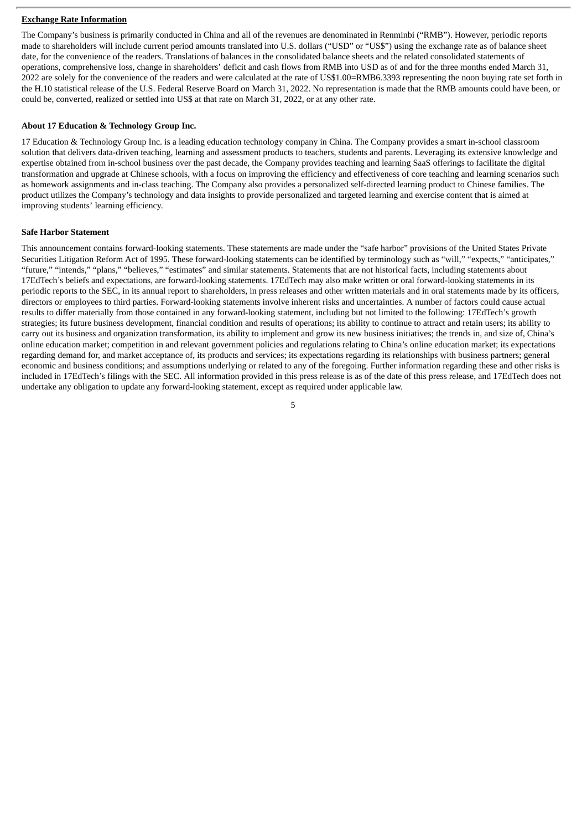#### **Exchange Rate Information**

The Company's business is primarily conducted in China and all of the revenues are denominated in Renminbi ("RMB"). However, periodic reports made to shareholders will include current period amounts translated into U.S. dollars ("USD" or "US\$") using the exchange rate as of balance sheet date, for the convenience of the readers. Translations of balances in the consolidated balance sheets and the related consolidated statements of operations, comprehensive loss, change in shareholders' deficit and cash flows from RMB into USD as of and for the three months ended March 31, 2022 are solely for the convenience of the readers and were calculated at the rate of US\$1.00=RMB6.3393 representing the noon buying rate set forth in the H.10 statistical release of the U.S. Federal Reserve Board on March 31, 2022. No representation is made that the RMB amounts could have been, or could be, converted, realized or settled into US\$ at that rate on March 31, 2022, or at any other rate.

#### **About 17 Education & Technology Group Inc.**

17 Education & Technology Group Inc. is a leading education technology company in China. The Company provides a smart in-school classroom solution that delivers data-driven teaching, learning and assessment products to teachers, students and parents. Leveraging its extensive knowledge and expertise obtained from in-school business over the past decade, the Company provides teaching and learning SaaS offerings to facilitate the digital transformation and upgrade at Chinese schools, with a focus on improving the efficiency and effectiveness of core teaching and learning scenarios such as homework assignments and in-class teaching. The Company also provides a personalized self-directed learning product to Chinese families. The product utilizes the Company's technology and data insights to provide personalized and targeted learning and exercise content that is aimed at improving students' learning efficiency.

#### **Safe Harbor Statement**

This announcement contains forward-looking statements. These statements are made under the "safe harbor" provisions of the United States Private Securities Litigation Reform Act of 1995. These forward-looking statements can be identified by terminology such as "will," "expects," "anticipates," "future," "intends," "plans," "believes," "estimates" and similar statements. Statements that are not historical facts, including statements about 17EdTech's beliefs and expectations, are forward-looking statements. 17EdTech may also make written or oral forward-looking statements in its periodic reports to the SEC, in its annual report to shareholders, in press releases and other written materials and in oral statements made by its officers, directors or employees to third parties. Forward-looking statements involve inherent risks and uncertainties. A number of factors could cause actual results to differ materially from those contained in any forward-looking statement, including but not limited to the following: 17EdTech's growth strategies; its future business development, financial condition and results of operations; its ability to continue to attract and retain users; its ability to carry out its business and organization transformation, its ability to implement and grow its new business initiatives; the trends in, and size of, China's online education market; competition in and relevant government policies and regulations relating to China's online education market; its expectations regarding demand for, and market acceptance of, its products and services; its expectations regarding its relationships with business partners; general economic and business conditions; and assumptions underlying or related to any of the foregoing. Further information regarding these and other risks is included in 17EdTech's filings with the SEC. All information provided in this press release is as of the date of this press release, and 17EdTech does not undertake any obligation to update any forward-looking statement, except as required under applicable law.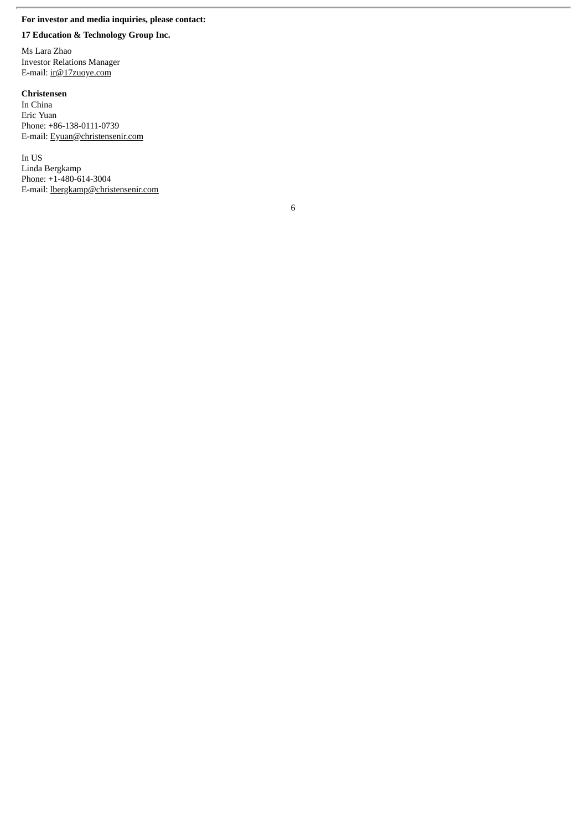## **For investor and media inquiries, please contact:**

#### **17 Education & Technology Group Inc.**

Ms Lara Zhao Investor Relations Manager E-mail: ir@17zuoye.com

#### **Christensen**

In China Eric Yuan Phone: +86-138-0111-0739 E-mail: Eyuan@christensenir.com

In US Linda Bergkamp Phone: +1-480-614-3004 E-mail: lbergkamp@christensenir.com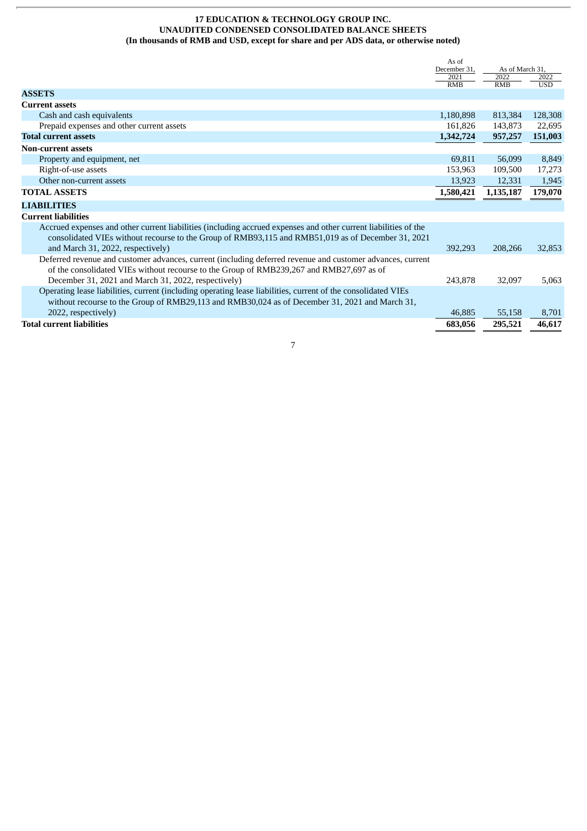#### **17 EDUCATION & TECHNOLOGY GROUP INC. UNAUDITED CONDENSED CONSOLIDATED BALANCE SHEETS (In thousands of RMB and USD, except for share and per ADS data, or otherwise noted)**

|                                                                                                                                                                                                                                                            | As of<br>December 31, | As of March 31, |            |
|------------------------------------------------------------------------------------------------------------------------------------------------------------------------------------------------------------------------------------------------------------|-----------------------|-----------------|------------|
|                                                                                                                                                                                                                                                            | 2021                  | 2022            | 2022       |
| <b>ASSETS</b>                                                                                                                                                                                                                                              | <b>RMB</b>            | <b>RMB</b>      | <b>USD</b> |
| <b>Current assets</b>                                                                                                                                                                                                                                      |                       |                 |            |
| Cash and cash equivalents                                                                                                                                                                                                                                  | 1,180,898             | 813,384         | 128,308    |
| Prepaid expenses and other current assets                                                                                                                                                                                                                  | 161,826               | 143,873         | 22,695     |
| <b>Total current assets</b>                                                                                                                                                                                                                                | 1,342,724             | 957,257         | 151,003    |
| <b>Non-current assets</b>                                                                                                                                                                                                                                  |                       |                 |            |
| Property and equipment, net                                                                                                                                                                                                                                | 69,811                | 56,099          | 8,849      |
| Right-of-use assets                                                                                                                                                                                                                                        | 153,963               | 109,500         | 17,273     |
| Other non-current assets                                                                                                                                                                                                                                   | 13,923                | 12,331          | 1,945      |
| <b>TOTAL ASSETS</b>                                                                                                                                                                                                                                        | 1,580,421             | 1,135,187       | 179,070    |
| <b>LIABILITIES</b>                                                                                                                                                                                                                                         |                       |                 |            |
| <b>Current liabilities</b>                                                                                                                                                                                                                                 |                       |                 |            |
| Accrued expenses and other current liabilities (including accrued expenses and other current liabilities of the<br>consolidated VIEs without recourse to the Group of RMB93,115 and RMB51,019 as of December 31, 2021<br>and March 31, 2022, respectively) | 392,293               | 208,266         | 32,853     |
| Deferred revenue and customer advances, current (including deferred revenue and customer advances, current<br>of the consolidated VIEs without recourse to the Group of RMB239,267 and RMB27,697 as of                                                     |                       |                 |            |
| December 31, 2021 and March 31, 2022, respectively)                                                                                                                                                                                                        | 243,878               | 32,097          | 5,063      |
| Operating lease liabilities, current (including operating lease liabilities, current of the consolidated VIEs<br>without recourse to the Group of RMB29,113 and RMB30,024 as of December 31, 2021 and March 31,                                            |                       |                 |            |
| 2022, respectively)                                                                                                                                                                                                                                        | 46,885                | 55,158          | 8,701      |
| <b>Total current liabilities</b>                                                                                                                                                                                                                           | 683.056               | 295,521         | 46,617     |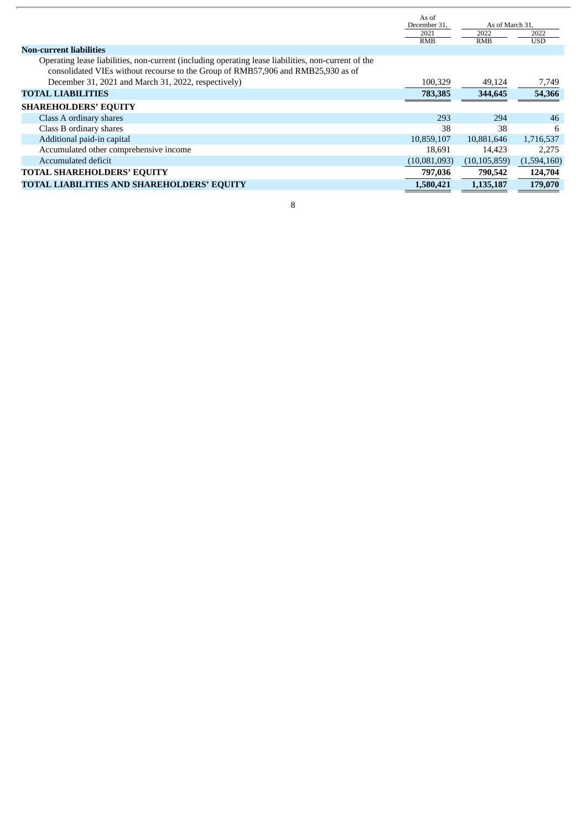|                                                                                                                                                                                         | As of<br>December 31, | As of March 31,    |                    |
|-----------------------------------------------------------------------------------------------------------------------------------------------------------------------------------------|-----------------------|--------------------|--------------------|
|                                                                                                                                                                                         | 2021<br><b>RMB</b>    | 2022<br><b>RMB</b> | 2022<br><b>USD</b> |
| <b>Non-current liabilities</b>                                                                                                                                                          |                       |                    |                    |
| Operating lease liabilities, non-current (including operating lease liabilities, non-current of the<br>consolidated VIEs without recourse to the Group of RMB57,906 and RMB25,930 as of |                       |                    |                    |
| December 31, 2021 and March 31, 2022, respectively)                                                                                                                                     | 100,329               | 49,124             | 7,749              |
| <b>TOTAL LIABILITIES</b>                                                                                                                                                                | 783,385               | 344,645            | 54,366             |
| <b>SHAREHOLDERS' EQUITY</b>                                                                                                                                                             |                       |                    |                    |
| Class A ordinary shares                                                                                                                                                                 | 293                   | 294                | 46                 |
| Class B ordinary shares                                                                                                                                                                 | 38                    | 38                 | 6                  |
| Additional paid-in capital                                                                                                                                                              | 10,859,107            | 10,881,646         | 1,716,537          |
| Accumulated other comprehensive income                                                                                                                                                  | 18.691                | 14.423             | 2.275              |
| Accumulated deficit                                                                                                                                                                     | (10,081,093)          | (10, 105, 859)     | (1,594,160)        |
| <b>TOTAL SHAREHOLDERS' EQUITY</b>                                                                                                                                                       | 797,036               | 790,542            | 124,704            |
| <b>TOTAL LIABILITIES AND SHAREHOLDERS' EQUITY</b>                                                                                                                                       | 1,580,421             | 1,135,187          | 179,070            |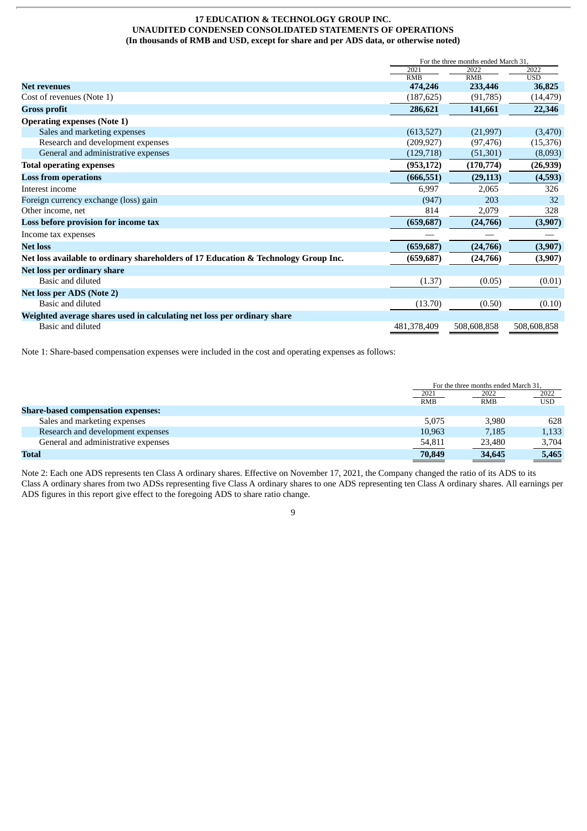#### **17 EDUCATION & TECHNOLOGY GROUP INC. UNAUDITED CONDENSED CONSOLIDATED STATEMENTS OF OPERATIONS (In thousands of RMB and USD, except for share and per ADS data, or otherwise noted)**

|                                                                                     | For the three months ended March 31, |             |             |  |
|-------------------------------------------------------------------------------------|--------------------------------------|-------------|-------------|--|
|                                                                                     | 2021                                 | 2022        | 2022        |  |
|                                                                                     | <b>RMB</b>                           | <b>RMB</b>  | <b>USD</b>  |  |
| <b>Net revenues</b>                                                                 | 474,246                              | 233,446     | 36,825      |  |
| Cost of revenues (Note 1)                                                           | (187, 625)                           | (91,785)    | (14, 479)   |  |
| <b>Gross profit</b>                                                                 | 286,621                              | 141,661     | 22,346      |  |
| <b>Operating expenses (Note 1)</b>                                                  |                                      |             |             |  |
| Sales and marketing expenses                                                        | (613,527)                            | (21,997)    | (3,470)     |  |
| Research and development expenses                                                   | (209, 927)                           | (97, 476)   | (15, 376)   |  |
| General and administrative expenses                                                 | (129, 718)                           | (51, 301)   | (8,093)     |  |
| <b>Total operating expenses</b>                                                     | (953, 172)                           | (170, 774)  | (26, 939)   |  |
| <b>Loss from operations</b>                                                         | (666, 551)                           | (29, 113)   | (4,593)     |  |
| Interest income                                                                     | 6,997                                | 2,065       | 326         |  |
| Foreign currency exchange (loss) gain                                               | (947)                                | 203         | 32          |  |
| Other income, net                                                                   | 814                                  | 2,079       | 328         |  |
| Loss before provision for income tax                                                | (659, 687)                           | (24,766)    | (3,907)     |  |
| Income tax expenses                                                                 |                                      |             |             |  |
| <b>Net loss</b>                                                                     | (659, 687)                           | (24,766)    | (3,907)     |  |
| Net loss available to ordinary shareholders of 17 Education & Technology Group Inc. | (659, 687)                           | (24,766)    | (3,907)     |  |
| Net loss per ordinary share                                                         |                                      |             |             |  |
| Basic and diluted                                                                   | (1.37)                               | (0.05)      | (0.01)      |  |
| Net loss per ADS (Note 2)                                                           |                                      |             |             |  |
| Basic and diluted                                                                   | (13.70)                              | (0.50)      | (0.10)      |  |
| Weighted average shares used in calculating net loss per ordinary share             |                                      |             |             |  |
| Basic and diluted                                                                   | 481,378,409                          | 508,608,858 | 508,608,858 |  |

Note 1: Share-based compensation expenses were included in the cost and operating expenses as follows:

|                                           |                           | For the three months ended March 31, |                           |  |
|-------------------------------------------|---------------------------|--------------------------------------|---------------------------|--|
|                                           | $\frac{2021}{\text{RMB}}$ | 2022                                 | $\frac{2022}{\text{USD}}$ |  |
|                                           |                           | RMB                                  |                           |  |
| <b>Share-based compensation expenses:</b> |                           |                                      |                           |  |
| Sales and marketing expenses              | 5.075                     | 3.980                                | 628                       |  |
| Research and development expenses         | 10.963                    | 7.185                                | 1,133                     |  |
| General and administrative expenses       | 54,811                    | 23,480                               | 3,704                     |  |
| <b>Total</b>                              | 70,849                    | 34,645                               | 5,465                     |  |

Note 2: Each one ADS represents ten Class A ordinary shares. Effective on November 17, 2021, the Company changed the ratio of its ADS to its Class A ordinary shares from two ADSs representing five Class A ordinary shares to one ADS representing ten Class A ordinary shares. All earnings per ADS figures in this report give effect to the foregoing ADS to share ratio change.